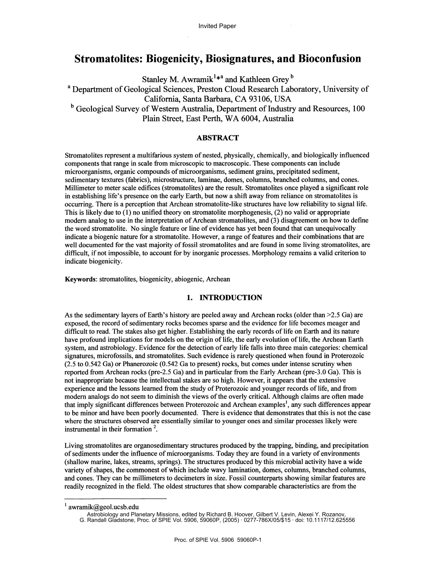# Stromatolites: Biogenicity, Biosignatures, and Bioconfusion

Stanley M. Awramik<sup>1\*a</sup> and Kathleen Grey<sup>b</sup> <sup>a</sup> Department of Geological Sciences, Preston Cloud Research Laboratory, University of California, Santa Barbara, CA 93106, USA <sup>b</sup> Geological Survey of Western Australia, Department of Industry and Resources, 100 Plain Street, East Perth, WA 6004, Australia

# ABSTRACT

Stromatolites represent a multifarious system of nested, physically, chemically, and biologically influenced components that range in scale from microscopic to macroscopic. These components can include microorganisms, organic compounds of microorganisms, sediment grains, precipitated sediment, sedimentary textures (fabrics), microstructure, laminae, domes, columns, branched columns, and cones. Millimeter to meter scale edifices (stromatolites) are the result. Stromatolites once played a significant role in establishing life's presence on the early Earth, but now a shift away from reliance on stromatolites is occurring. There is a perception that Archean stromatolite-like structures have low reliability to signal life. This is likely due to (1) no unified theory on stromatolite morphogenesis, (2) no valid or appropriate modern analog to use in the interpretation of Archean stromatolites, and (3) disagreement on how to define the word stromatolite. No single feature or line of evidence has yet been found that can unequivocally indicate a biogenic nature for a stromatolite. However, a range of features and their combinations that are well documented for the vast majority of fossil stromatolites and are found in some living stromatolites, are difficult, if not impossible, to account for by inorganic processes. Morphology remains a valid criterion to indicate biogenicity.

Keywords: stromatolites, biogenicity, abiogenic, Archean

# 1. INTRODUCTION

As the sedimentary layers of Earth's history are peeled away and Archean rocks (older than >2.5 Ga) are exposed, the record of sedimentary rocks becomes sparse and the evidence for life becomes meager and difficult to read. The stakes also get higher. Establishing the early records of life on Earth and its nature have profound implications for models on the origin of life, the early evolution of life, the Archean Earth system, and astrobiology. Evidence for the detection of early life falls into three main categories: chemical signatures, microfossils, and stromatolites. Such evidence is rarely questioned when found in Proterozoic (2.5 to 0.542 Ga) or Phanerozoic (0.542 Ga to present) rocks, but comes under intense scrutiny when reported from Archean rocks (pre-2.5 Ga) and in particular from the Early Archean (pre-3.0 Ga). This is not inappropriate because the intellectual stakes are so high. However, it appears that the extensive experience and the lessons learned from the study of Proterozoic and younger records of life, and from modern analogs do not seem to diminish the views of the overly critical. Although claims are often made that imply significant differences between Proterozoic and Archean examples<sup>1</sup>, any such differences appear to be minor and have been poorly documented. There is evidence that demonstrates that this is not the case where the structures observed are essentially similar to younger ones and similar processes likely were instrumental in their formation  $2$ .

Living stromatolites are organosedimentary structures produced by the trapping, binding, and precipitation of sediments under the influence of microorganisms. Today they are found in a variety of environments (shallow marine, lakes, streams, springs). The structures produced by this microbial activity have a wide variety of shapes, the commonest of which include wavy lamination, domes, columns, branched columns, and cones. They can be millimeters to decimeters in size. Fossil counterparts showing similar features are readily recognized in the field. The oldest structures that show comparable characteristics are from the

G. Randall Gladstone, Proc. of SPIE Vol. 5906, 59060P, (2005) · 0277-786X/05/\$15 · doi: 10.1117/12.625556

 $1$  awramik@geol.ucsb.edu

Astrobiology and Planetary Missions, edited by Richard B. Hoover, Gilbert V. Levin, Alexei Y. Rozanov,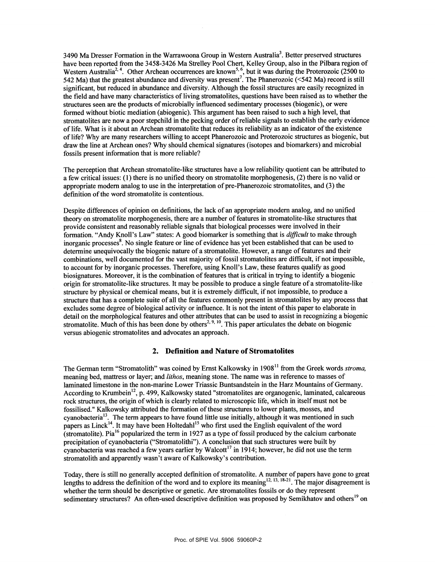3490 Ma Dresser Formation in the Warrawoona Group in Western Australia3. Better preserved structures have been reported from the 3458-3426 Ma Strelley Pool Chert, Kelley Group, also in the Pilbara region of Western Australia<sup>2, 4</sup>. Other Archean occurrences are known<sup>5, 6</sup>, but it was during the Proterozoic (2500 to 542 Ma) that the greatest abundance and diversity was present<sup>7</sup>. The Phanerozoic (<542 Ma) record is still significant, but reduced in abundance and diversity. Although the fossil structures are easily recognized in the field and have many characteristics of living stromatolites, questions have been raised as to whether the structures seen are the products of microbially influenced sedimentary processes (biogenic), or were formed without biotic mediation (abiogenic). This argument has been raised to such a high level, that stromatolites are now a poor stepchild in the pecking order ofreliable signals to establish the early evidence of life. What is it about an Archean stromatolite that reduces its reliability as an indicator of the existence oflife? Why are many researchers willing to accept Phanerozoic and Proterozoic structures as biogenic, but draw the line at Archean ones? Why should chemical signatures (isotopes and biomarkers) and microbial fossils present information that is more reliable?

The perception that Archean stromatolite-like structures have a low reliability quotient can be attributed to a few critical issues: (1) there is no unified theory on stromatolite morphogenesis, (2) there is no valid or appropriate modern analog to use in the interpretation of pre-Phanerozoic stromatolites, and (3) the definition of the word stromatolite is contentious.

Despite differences of opinion on definitions, the lack of an appropriate modern analog, and no unified theory on stromatolite morphogenesis, there are a number of features in stromatolite-like structures that provide consistent and reasonably reliable signals that biological processes were involved in their formation. "Andy Knoll's Law" states: A good biomarker is something that is *difficult* to make through inorganic processes<sup>8</sup>. No single feature or line of evidence has yet been established that can be used to determine unequivocally the biogenic nature of a stromatolite. However, a range of features and their combinations, well documented for the vast majority of fossil stromatolites are difficult, if not impossible, to account for by inorganic processes. Therefore, using Knoll's Law, these features qualify as good biosignatures. Moreover, it is the combination of features that is critical in trying to identify a biogenic origin for stromatolite-like structures. It may be possible to produce a single feature of a stromatolite-like structure by physical or chemical means, but it is extremely difficult, ifnot impossible, to produce a structure that has a complete suite of all the features commonly present in stromatolites by any process that excludes some degree of biological activity or influence. It is not the intent of this paper to elaborate in detail on the morphological features and other attributes that can be used to assist in recognizing a biogenic stromatolite. Much of this has been done by others<sup>2, 9, 10</sup>. This paper articulates the debate on biogenic versus abiogenic stromatolites and advocates an approach.

### 2. Definition and Nature of Stromatolites

The German term "Stromatolith" was coined by Ernst Kalkowsky in 1908<sup>11</sup> from the Greek words stroma, meaning bed, mattress or layer; and *lithos*, meaning stone. The name was in reference to masses of laminated limestone in the non-marine Lower Triassic Buntsandstein in the Harz Mountains of Germany. According to Krumbein<sup>12</sup>, p. 499, Kalkowsky stated "stromatolites are organogenic, laminated, calcareous rock structures, the origin of which is clearly related to microscopic life, which in itself must not be fossilised." Kalkowsky attributed the formation of these structures to lower plants, mosses, and cyanobacteria<sup>13</sup>. The term appears to have found little use initially, although it was mentioned in such papers as Linck<sup>14</sup>. It may have been Holtedahl<sup>15</sup> who first used the English equivalent of the word (stromatolite). Pia $^{16}$  popularized the term in 1927 as a type of fossil produced by the calcium carbonate precipitation of cyanobacteria ("Stromatolithi"). A conclusion that such structures were built by cyanobacteria was reached a few years earlier by Walcott<sup>17</sup> in 1914; however, he did not use the term stromatolith and apparently wasn't aware of Kalkowsky's contribution.

Today, there is still no generally accepted definition of stromatolite. A number of papers have gone to great lengths to address the definition of the word and to explore its meaning<sup>12, 13, 18-21</sup>. The major disagreement is whether the term should be descriptive or genetic. Are stromatolites fossils or do they represent sedimentary structures? An often-used descriptive definition was proposed by Semikhatov and others<sup>19</sup> on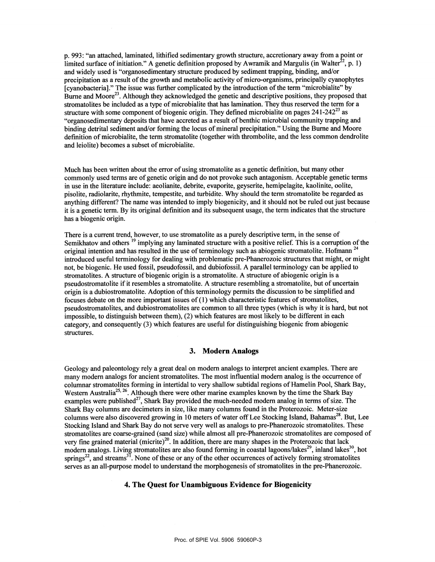p. 993 : "an attached, laminated, lithified sedimentary growth structure, accretionary away from a point or limited surface of initiation." A genetic definition proposed by Awramik and Margulis (in Walter<sup>22</sup>, p. 1) and widely used is "organosedimentary structure produced by sediment trapping, binding, and/or precipitation as a result of the growth and metabolic activity of micro-organisms, principally cyanophytes [cyanobacteria]." The issue was further complicated by the introduction ofthe term "microbialite" by Burne and Moore<sup>23</sup>. Although they acknowledged the genetic and descriptive positions, they proposed that stromatolites be included as a type of microbialite that has lamination. They thus reserved the term for a structure with some component of biogenic origin. They defined microbialite on pages  $241-242^{23}$  as "organosedimentary deposits that have accreted as a result of benthic microbial community trapping and binding detrital sediment and/or forming the locus of mineral precipitation." Using the Burne and Moore defmition of microbialite, the term stromatolite (together with thrombolite, and the less common dendrolite and leiolite) becomes a subset of microbialite.

Much has been written about the error of using stromatolite as a genetic definition, but many other commonly used terms are of genetic origin and do not provoke such antagonism. Acceptable genetic terms in use in the literature include: aeolianite, debrite, evaporite, geyserite, hemipelagite, kaolinite, oolite, pisolite, radiolarite, rhythmite, tempestite, and turbidite. Why should the term stromatolite be regarded as anything different? The name was intended to imply biogenicity, and it should not be ruled out just because it is a genetic term. By its original defmition and its subsequent usage, the term indicates that the structure has a biogenic origin.

There is a current trend, however, to use stromatolite as a purely descriptive term, in the sense of Semikhatov and others <sup>19</sup> implying any laminated structure with a positive relief. This is a corruption of the original intention and has resulted in the use of terminology such as abiogenic stromatolite. Hofmann<sup>24</sup> introduced useful terminology for dealing with problematic pre-Phanerozoic structures that might, or might not, be biogenic. He used fossil, pseudofossil, and dubiofossil. A parallel terminology can be applied to stromatolites. A structure of biogenic origin is a stromatolite. A structure of abiogenic origin is a pseudostromatolite if it resembles a stromatolite. A structure resembling a stromatolite, but of uncertain origin is a dubiostromatolite. Adoption of this terminology permits the discussion to be simplified and focuses debate on the more important issues of  $(1)$  which characteristic features of stromatolites, pseudostromatolites, and dubiostromatolites are common to all three types (which is why it is hard, but not impossible, to distinguish between them), (2) which features are most likely to be different in each category, and consequently (3) which features are useful for distinguishing biogenic from abiogenic structures.

### 3. Modern Analogs

Geology and paleontology rely a great deal on modern analogs to interpret ancient examples. There are many modem analogs for ancient stromatolites. The most influential modem analog is the occurrence of columnar stromatolites forming in intertidal to very shallow subtidal regions of Hamelin Pool, Shark Bay, Western Australia<sup>25, 26</sup>. Although there were other marine examples known by the time the Shark Bay examples were published<sup>27</sup>, Shark Bay provided the much-needed modern analog in terms of size. The Shark Bay columns are decimeters in size, like many columns found in the Proterozoic. Meter-size columns were also discovered growing in 10 meters of water off Lee Stocking Island, Bahamas<sup>28</sup>. But, Lee Stocking Island and Shark Bay do not serve very well as analogs to pre-Phanerozoic stromatolites. These stromatolites are coarse-grained (sand size) while almost all pre-Phanerozoic stromatolites are composed of very fine grained material (micrite)<sup>20</sup>. In addition, there are many shapes in the Proterozoic that lack modern analogs. Living stromatolites are also found forming in coastal lagoons/lakes<sup>29</sup>, inland lakes<sup>30</sup>, hot springs<sup>22</sup>, and streams<sup>31</sup>. None of these or any of the other occurrences of actively forming stromatolites serves as an all-purpose model to understand the morphogenesis of stromatolites in the pre-Phanerozoic.

### 4. The Quest for Unambiguous Evidence for Biogenicity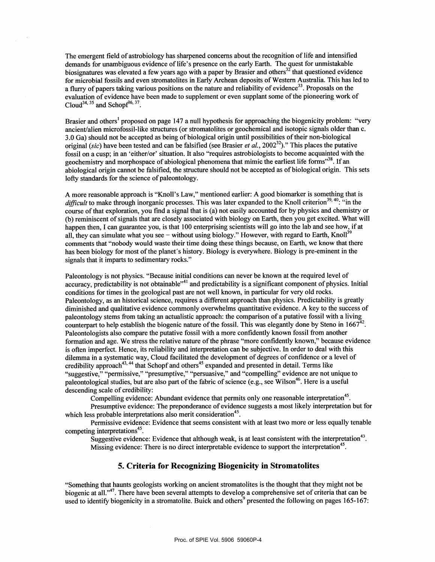The emergent field of astrobiology has sharpened concerns about the recognition of life and intensified demands for unambiguous evidence of life's presence on the early Earth. The quest for unmistakable biosignatures was elevated a few years ago with a paper by Brasier and others $32$  that questioned evidence for microbial fossils and even stromatolites in Early Archean deposits of Western Australia. This has led to a flurry of papers taking various positions on the nature and reliability of evidence<sup>33</sup>. Proposals on the evaluation of evidence have been made to supplement or even supplant some of the pioneering work of  $\text{Cloud}^{34,35}$  and Schopf<sup>36, 37</sup>.

Brasier and others<sup>1</sup> proposed on page 147 a null hypothesis for approaching the biogenicity problem: "very ancient/alien microfossil-like structures (or stromatolites or geochemical and isotopic signals older than c. 3.0 Ga) should not be accepted as being of biological origin until possibilities of their non-biological original (sic) have been tested and can be falsified (see Brasier *et al.*, 2002<sup>32</sup>)." This places the putative fossil on a cusp; in an 'either/or' situation. It also "requires astrobiologists to become acquainted with the geochemistry and morphospace of abiological phenomena that mimic the earliest life forms<sup>338</sup>. If an abiological origin cannot be falsified, the structure should not be accepted as of biological origin. This sets lofty standards for the science of paleontology.

A more reasonable approach is "Knoll's Law," mentioned earlier: A good biomarker is something that is difficult to make through inorganic processes. This was later expanded to the Knoll criterion<sup>39, 40</sup>: "in the course ofthat exploration, you fmd a signal that is (a) not easily accounted for by physics and chemistry or (b) reminiscent of signals that are closely associated with biology on Earth, then you get excited. What will happen then, I can guarantee you, is that 100 enterprising scientists will go into the lab and see how, if at all, they can simulate what you see — without using biology." However, with regard to Earth, Knoll<sup>39</sup> comments that "nobody would waste their time doing these things because, on Earth, we know that there has been biology for most of the planet's history. Biology is everywhere. Biology is pre-eminent in the signals that it imparts to sedimentary rocks."

Paleontology is not physics. "Because initial conditions can never be known at the required level of accuracy, predictability is not obtainable $^{41}$  and predictability is a significant component of physics. Initial conditions for times in the geological past are not well known, in particular for very old rocks. Paleontology, as an historical science, requires a different approach than physics. Predictability is greatly diminished and qualitative evidence commonly overwhelms quantitative evidence. A key to the success of paleontology stems from taking an actualistic approach: the comparison of a putative fossil with a living counterpart to help establish the biogenic nature of the fossil. This was elegantly done by Steno in  $1667^{42}$ . Paleontologists also compare the putative fossil with a more confidently known fossil from another formation and age. We stress the relative nature of the phrase "more confidently known," because evidence is often imperfect. Hence, its reliability and interpretation can be subjective. In order to deal with this dilemma in a systematic way, Cloud facilitated the development of degrees of confidence or a level of credibility approach<sup>43, 44</sup> that Schopf and others<sup>45</sup> expanded and presented in detail. Terms like "suggestive," "permissive," "presumptive," "persuasive," and "compelling" evidence are not unique to paleontological studies, but are also part of the fabric of science (e.g., see Wilson<sup>46</sup>. Here is a useful descending scale of credibility:

Compelling evidence: Abundant evidence that permits only one reasonable interpretation<sup>45</sup>.

Presumptive evidence: The preponderance of evidence suggests a most likely interpretation but for which less probable interpretations also merit consideration<sup>45</sup>.

Permissive evidence: Evidence that seems consistent with at least two more or less equally tenable competing interpretations<sup>45</sup>.

Suggestive evidence: Evidence that although weak, is at least consistent with the interpretation<sup>43</sup>. Missing evidence: There is no direct interpretable evidence to support the interpretation<sup>45</sup>.

### 5. Criteria for Recognizing Biogenicity in Stromatolites

"Something that haunts geologists working on ancient stromatolites is the thought that they might not be biogenic at all."<sup>47</sup>. There have been several attempts to develop a comprehensive set of criteria that can be used to identify biogenicity in a stromatolite. Buick and others<sup>9</sup> presented the following on pages 165-167: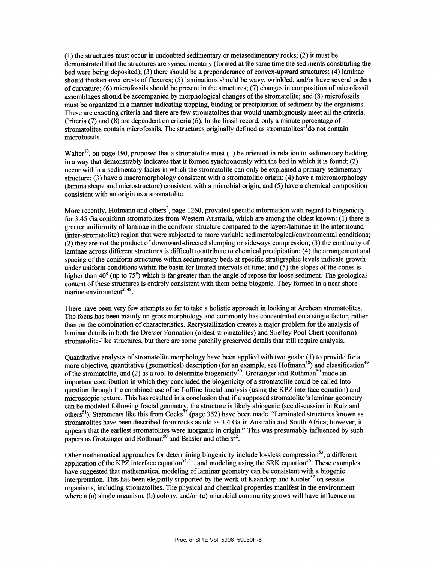(1) the structures must occur in undoubted sedimentary or metasedimentary rocks; (2) it must be demonstrated that the structures are synsedimentary (formed at the same time the sediments constituting the bed were being deposited); (3) there should be a preponderance of convex-upward structures; (4) laminae should thicken over crests of flexures; (5) laminations should be wavy, wrinkled, and/or have several orders of curvature;  $(6)$  microfossils should be present in the structures;  $(7)$  changes in composition of microfossil assemblages should be accompanied by morphological changes ofthe stromatolite; and (8) microfossils must be organized in a manner indicating trapping, binding or precipitation of sediment by the organisms. These are exacting criteria and there are few stromatolites that would unambiguously meet all the criteria. Criteria (7) and (8) are dependent on criteria (6). In the fossil record, only a minute percentage of stromatolites contain microfossils. The structures originally defined as stromatolites $1\text{d}$  on not contain microfossils.

Walter<sup>10</sup>, on page 190, proposed that a stromatolite must (1) be oriented in relation to sedimentary bedding in a way that demonstrably indicates that it formed synchronously with the bed in which it is found; (2) occur within a sedimentary facies in which the stromatolite can only be explained a primary sedimentary structure; (3) have a macromorphology consistent with a stromatolitic origin; (4) have a micromorphology (lamina shape and microstructure) consistent with a microbial origin, and (5) have a chemical composition consistent with an origin as a stromatolite.

More recently, Hofmann and others<sup>2</sup>, page 1260, provided specific information with regard to biogenicity for 3 .45 Ga coniform stromatolites from Western Australia, which are among the oldest known: (1) there is greater uniformity oflaminae in the coniform structure compared to the layers/laminae in the intermound (inter-stromatolite) region that were subjected to more variable sedimentological/environmental conditions; (2) they are not the product of downward-directed slumping or sideways compression; (3) the continuity of Iaminae across different structures is difficult to attribute to chemical precipitation; (4) the arrangement and spacing of the coniform structures within sedimentary beds at specific stratigraphic levels indicate growth under uniform conditions within the basin for limited intervals of time; and (5) the slopes of the cones is higher than 40<sup>°</sup> (up to 75<sup>°</sup>) which is far greater than the angle of repose for loose sediment. The geological content of these structures is entirely consistent with them being biogenic. They formed in a near shore marine environment<sup>2, 48</sup>.

There have been very few attempts so far to take a holistic approach in looking at Archean stromatolites. The focus has been mainly on gross morphology and commonly has concentrated on a single factor, rather than on the combination of characteristics. Recrystallization creates a major problem for the analysis of laminar details in both the Dresser Formation (oldest stromatolites) and Strelley Pool Chert (coniform) stromatolite-like structures, but there are some patchily preserved details that still require analysis.

Quantitative analyses of stromatolite morphology have been applied with two goals: (1) to provide for a more objective, quantitative (geometrical) description (for an example, see Hofmann<sup>18</sup>) and classification<sup>49</sup> of the stromatolite, and (2) as a tool to determine biogenicity<sup>50</sup>. Grotzinger and Rothman<sup>50</sup> made an important contribution in which they concluded the biogenicity of a stromatolite could be called into question through the combined use of self-affine fractal analysis (using the KPZ interface equation) and microscopic texture. This has resulted in a conclusion that if a supposed stromatolite's laminar geometry can be modeled following fractal geometry, the structure is likely abiogenic (see discussion in Ruiz and others<sup>51</sup>). Statements like this from Cocks<sup>52</sup> (page 352) have been made "Laminated structures known as stromatolites have been described from rocks as old as 3.4 Ga in Australia and South Africa; however, it appears that the earliest stromatolites were inorganic in origin." This was presumably influenced by such papers as Grotzinger and Rothman<sup>50</sup> and Brasier and others<sup>32</sup>.

Other mathematical approaches for determining biogenicity include lossless compression<sup>53</sup>, a different application of the KPZ interface equation<sup>54, 55</sup>, and modeling using the SRK equation<sup>56</sup>. These examples have suggested that mathematical modeling of laminar geometry can be consistent with a biogenic interpretation. This has been elegantly supported by the work of Kaandorp and Kubler<sup>57</sup> on sessile organisms, including stromatolites. The physical and chemical properties manifest in the environment where a (a) single organism, (b) colony, and/or (c) microbial community grows will have influence on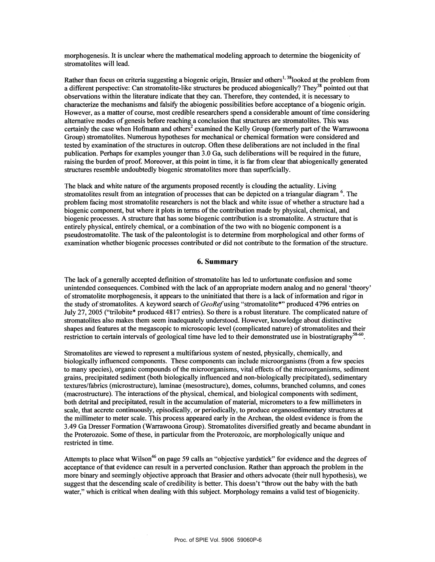morphogenesis. It is unclear where the mathematical modeling approach to determine the biogenicity of stromatolites will lead.

Rather than focus on criteria suggesting a biogenic origin, Brasier and others<sup>1, 38</sup>looked at the problem from a different perspective: Can stromatolite-like structures be produced abiogenically? They<sup>38</sup> pointed out that observations within the literature indicate that they can. Therefore, they contended, it is necessary to characterize the mechanisms and falsify the abiogenic possibilities before acceptance ofa biogenic origin. However, as a matter of course, most credible researchers spend a considerable amount of time considering alternative modes of genesis before reaching a conclusion that structures are stromatolites. This was certainly the case when Hofmann and others<sup>2</sup> examined the Kelly Group (formerly part of the Warrawoona Group) stromatolites. Numerous hypotheses for mechanical or chemical formation were considered and tested by examination ofthe structures in outcrop. Often these deliberations are not included in the fmal publication. Perhaps for examples younger than 3.0 Ga, such deliberations will be required in the future, raising the burden of proof. Moreover, at this point in time, it is far from clear that abiogenically generated structures resemble undoubtedly biogenic stromatolites more than superficially.

The black and white nature of the arguments proposed recently is clouding the actuality. Living stromatolites result from an integration of processes that can be depicted on a triangular diagram  $<sup>6</sup>$ . The</sup> problem facing most stromatolite researchers is not the black and white issue of whether a structure had a biogenic component, but where it plots in terms of the contribution made by physical, chemical, and biogenic processes. A structure that has some biogenic contribution is a stromatolite. A structure that is entirely physical, entirely chemical, or a combination of the two with no biogenic component is a pseudostromatolite. The task ofthe paleontologist is to determine from morphological and other forms of examination whether biogenic processes contributed or did not contribute to the formation ofthe structure.

# 6. Summary

The lack of a generally accepted defmition of stromatolite has led to unfortunate confusion and some unintended consequences. Combined with the lack of an appropriate modem analog and no general 'theory' of stromatolite morphogenesis, it appears to the uninitiated that there is a lack of information and rigor in the study of stromatolites. A keyword search of GeoRef using "stromatolite\*" produced 4796 entries on July 27, 2005 ("trilobite\* produced 4817 entries). So there is a robust literature. The complicated nature of stromatolites also makes them seem inadequately understood. However, knowledge about distinctive shapes and features at the megascopic to microscopic level (complicated nature) of stromatolites and their restriction to certain intervals of geological time have led to their demonstrated use in biostratigraphy<sup>58-60</sup>.

Stromatolites are viewed to represent a multifarious system of nested, physically, chemically, and biologically influenced components. These components can include microorganisms (from a few species to many species), organic compounds ofthe microorganisms, vital effects ofthe microorganisms, sediment grains, precipitated sediment (both biologically influenced and non-biologically precipitated), sedimentary textures/fabrics (microstructure), laminae (mesostructure), domes, colunins, branched columns, and cones (macrostructure). The interactions of the physical, chemical, and biological components with sediment, both detrital and precipitated, result in the accumulation of material, micrometers to a few millimeters in scale, that accrete continuously, episodically, or periodically, to produce organosedimentary structures at the millimeter to meter scale. This process appeared early in the Archean, the oldest evidence is from the 3.49 Ga Dresser Formation (Warrawoona Group). Stromatolites diversified greatly and became abundant in the Proterozoic. Some of these, in particular from the Proterozoic, are morphologically unique and restricted in time.

Attempts to place what Wilson<sup>46</sup> on page 59 calls an "objective yardstick" for evidence and the degrees of acceptance ofthat evidence can result in a perverted conclusion. Rather than approach the problem in the more binary and seemingly objective approach that Brasier and others advocate (their null hypothesis), we suggest that the descending scale of credibility is better. This doesn't "throw out the baby with the bath water," which is critical when dealing with this subject. Morphology remains a valid test of biogenicity.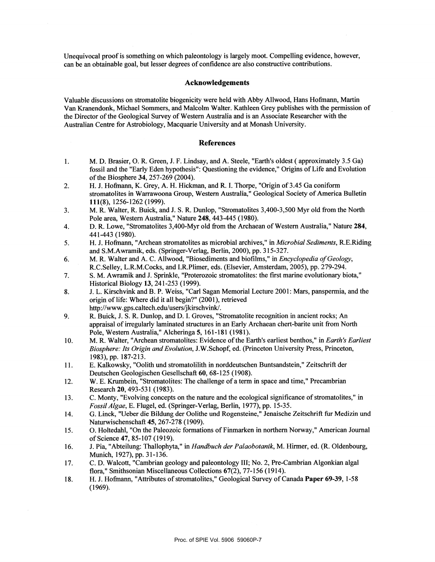Unequivocal proof is something on which paleontology is largely moot. Compelling evidence, however, can be an obtainable goal, but lesser degrees of confidence are also constructive contributions.

### Acknowledgements

Valuable discussions on stromatolite biogenicity were held with Abby Aliwood, Hans Hofmann, Martin Van Kranendonk, Michael Sommers, and MaIcom Walter. Kathleen Grey publishes with the permission of the Director of the Geological Survey of Western Australia and is an Associate Researcher with the Australian Centre for Astrobiology, Macquarie University and at Monash University.

#### References

- 1. M. D. Brasier, 0. R. Green, J. F. Lindsay, and A. Steele, "Earth's oldest (approximately 3.5 Ga) fossil and the "Early Eden hypothesis": Questioning the evidence," Origins of Life and Evolution of the Biosphere 34, 257-269 (2004).
- 2. H. J. Hofmann, K. Grey, A. H. Hickman, and R. I. Thorpe, "Origin of3.45 Ga coniform stromatolites in Warrawoona Group, Western Australia," Geological Society of America Bulletin 111(8), 1256-1262 (1999).
- 3. M. R. Walter, R. Buick, and J. S. R. Dunlop, "Stromatolites 3,400-3,500 Myr old from the North Pole area, Western Australia," Nature 248, 443-445 (1980).
- 4. D. R. Lowe, "Stromatolites 3,400-Myr old from the Archaean of Western Australia," Nature 284, 441-443 (1980).
- 5. H. J. Hofmann, "Archean stromatolites as microbial archives," in *Microbial Sediments*, R.E.Riding and S.M.Awramik, eds. (Springer-Verlag, Berlin, 2000), pp. 315-327.
- 6. M. R. Walter and A. C. Allwood, "Biosediments and bioflims," in Encyclopedia of Geology, R.C.SeIley, L.R.M.Cocks, and LR.Plimer, eds. (Elsevier, Amsterdam, 2005), pp. 279-294.
- 7. S. M. Awramik and J. Sprinkle, "Proterozoic stromatolites: the first marine evolutionary biota," Historical Biology 13, 241-253 (1999).
- 8. J. L. Kirschvink and B. P. Weiss, "Carl Sagan Memorial Lecture 2001: Mars, panspermia, and the origin of life: Where did it all begin?" (2001), retrieved http://www.gps.caltech.edu/users/jkirschvink/.
- 9. R. Buick, J. S. R. Dunlop, and D. I. Groves, "Stromatolite recognition in ancient rocks; An appraisal of irregularly laminated structures in an Early Archaean chert-barite unit from North Pole, Western Australia," Aicheringa 5, 161-181 (1981).
- 10. M. R. Walter, "Archean stromatolites: Evidence of the Earth's earliest benthos," in Earth's Earliest Biosphere: Its Origin and Evolution, J.W.Schopf, ed. (Princeton University Press, Princeton, 1983), pp. 187-213.
- 11. E. Kalkowsky, "Oolith und stromatolilith in norddeutschen Buntsandstein," Zeitschrift der Deutschen Geologischen Gesellschaft 60, 68-125 (1908).
- 12. W. E. Krumbein, "Stromatolites: The challenge ofa term in space and time," Precambrian Research 20, 493-531 (1983).
- 13. C. Monty, "Evolving concepts on the nature and the ecological significance of stromatolites," in FossilAlgae, E. Flugel, ed. (Springer-Verlag, Berlin, 1977), pp. 15-35.
- 14. G. Linck, "Ueber die Bildung der Oolithe und Rogensteine," Jenaische Zeitschrift fur Medizin und Naturwischenschaft 45, 267-278 (1909).
- 15. O. Holtedahl, "On the Paleozoic formations of Finmarken in northern Norway," American Journal ofScience 47, 85-107 (1919).
- 16. J. Pia, "Abteilung: Thallophyta," in Handbuch der Palaobotanik, M. Hirmer, ed. (R. Oldenbourg, Munich, 1927), pp. 31-136.
- 17. C. D. Walcott, "Cambrian geology and paleontology Ill; No.2, Pre-Cambrian Algonkian algal flora," Smithsonian Miscellaneous Collections 67(2), 77-156 (1914).
- 18. H. J. Hofmann, "Attributes of stromatolites," Geological Survey of Canada Paper 69-39, 1-58 (1969).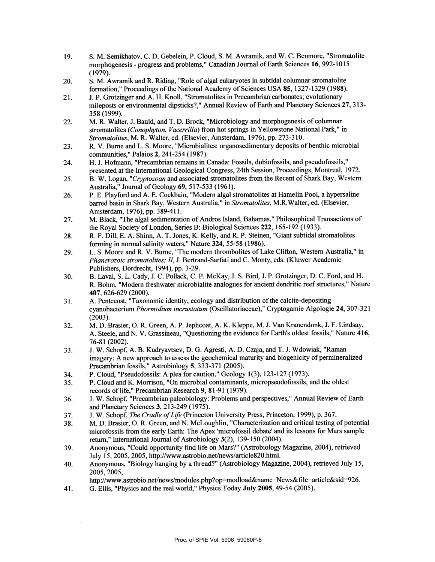- 19. S. M. Semikhatov, C. D. Gebelein, P. Cloud, S. M. Awramik, and W. C. Benmore, "Stromatolite morphogenesis - progress and problems," Canadian Journal of Earth Sciences 16, 992-1015 (1979).
- 20. S. M. Awramik and R. Riding, "Role of algal eukaryotes in subtidal columnar stromatolite formation," Proceedings of the National Academy of Sciences USA 85, 1327-1329 (1988).
- 21. J. P. Grotzinger and A. H. Knoll, "Stromatolites in Precambrian carbonates; evolutionary mileposts or environmental dipsticks?," Annual Review of Earth and Planetary Sciences 27, 313-358 (1999).
- 22. M. R. Walter, J. Bauld, and T. D. Brock, "Microbiology and morphogenesis of columnar stromatolites (Conophyton, Vacerrilla) from hot springs in Yellowstone National Park," in Stromatolites, M. R. Walter, ed. (Elsevier, Amsterdam, 1976), pp. 273-310.
- 23. R. V. Burne and L. S. Moore, "Microbialites: organosedimentary deposits of benthic microbial communities," Palaios 2, 241-254 (1987).
- 24. H. J. Hofmann, "Precambrian remains in Canada: Fossils, dubiofossils, and pseudofossils," presented at the International Geological Congress, 24th Session, Proceedings, Montreal, 1972.
- 25. B. W. Logan, "Cryptozoan and associated stromatolites from the Recent of Shark Bay, Western Australia," Journal of Geology 69, 517-533 (1961).
- 26. P. E. Playford and A. E. Cockbain, "Modern algal stromatolites at Hamelin Pool, a hypersaline barred basin in Shark Bay, Western Australia," in Stromatolites, M.R.Walter, ed. (Elsevier, Amsterdam, 1976), pp. 389-41 1.
- 27. M. Black, "The algal sedimentation of Andros Island, Bahamas," Philosophical Transactions of the Royal Society of London, Series B: Biological Sciences 222, 165-192 (1933).
- 28. R. F. Dill, E. A. Shinn, A. T. Jones, K. Kelly, and R. P. Steinen, "Giant subtidal stromatolites forming in normal salinity waters," Nature 324, 55-58 (1986).
- 29. L. S. Moore and R. V. Burne, "The modern thrombolites of Lake Clifton, Western Australia," in Phanerozoic stromatolites; II, J. Bertrand-Sarfati and C. Monty, eds. (Kiuwer Academic Publishers, Dordrecht, 1994), pp. 3-29.
- 30. B. Laval, S. L. Cady, J. C. Pollack, C. P. McKay, J. S. Bird, J. P. Grotzinger, D. C. Ford, and H. R. Bohm, "Modern freshwater microbialite analogues for ancient dendritic reef structures," Nature 407, 626-629 (2000).
- 31. A. Pentecost, "Taxonomic identity, ecology and distribution of the calcite-depositing cyanobacterium Phormidium incrustatum (Oscillatoriaceae)," Cryptogamie Algologie 24, 307-321 (2003).
- 32. M. D. Brasier, 0. R. Green, A. P. Jephcoat, A. K. Kleppe, M. J. Van Kranendorik, J. F. Lindsay, A. Steele, and N. V. Grassineau, "Questioning the evidence for Earth's oldest fossils," Nature 416, 76-81 (2002).
- 33. J. W. Schopf, A. B. Kuthyavtsev, D. G. Agresti, A. D. Czaja, and T. J. Wdowiak, "Raman imagery: A new approach to assess the geochemical maturity and biogenicity of permineralized Precambrian fossils," Astrobiology 5, 333-371 (2005).
- 34. P. Cloud, "Pseudofossils: A plea for caution," Geology 1(3), 123-127 (1973).<br>35. P. Cloud and K. Morrison, "On microbial contaminants, micropseudofossils, a
- 35. P. Cloud and K. Morrison, "On microbial contaminants, micropseudofossils, and the oldest records of life," Precambrian Research 9, 81-91 (1979).
- 36. J. W. Schopf, "Precambrian paleobiology: Problems and perspectives," Annual Review of Earth and Planetary Sciences 3, 213-249 (1975).
- 37. J. W. Schopf, *The Cradle of Life* (Princeton University Press, Princeton, 1999), p. 367.<br>38. M. D. Brasier, O. R. Green, and N. McLoughlin, "Characterization and critical testing
- 38. M. D. Brasier, 0. R. Green, and N. McLoughlin, "Characterization and critical testing of potential microfossils from the early Earth: The Apex 'microfossil debate' and its lessons for Mars sample return," International Journal of Astrobiology 3(2), 139-150 (2004).
- 39. Anonymous, "Could opportunity fmd life on Mars?" (Astrobiology Magazine, 2004), retrieved July 15, 2005, 2005, http://www.astrobio.net/news/article820.html.
- 40. Anonymous, "Biology hanging by a thread?" (Astrobiology Magazine, 2004), retrieved July 15, 2005, 2005,

http://www.astrobio.net/news/modules.php?op=modload&name=News&file=article&sid=926.

41. G. Ellis, "Physics and the real world," Physics Today July 2005, 49-54 (2005).